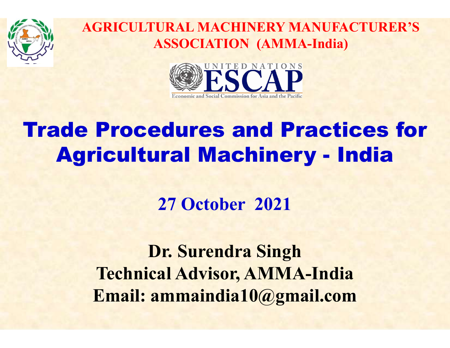



# Trade Procedures and Practices for AGRICULTURAL MACHINERY MANUFACTURER'S<br>
ASSOCIATION (AMMA-India)<br> **Agricultural Machinery - India**<br> **Agricultural Machinery - India**<br>
27 October 2021

27 October 2021

Dr. Surendra Singh Technical Advisor, AMMA-India Email: ammaindia10@gmail.com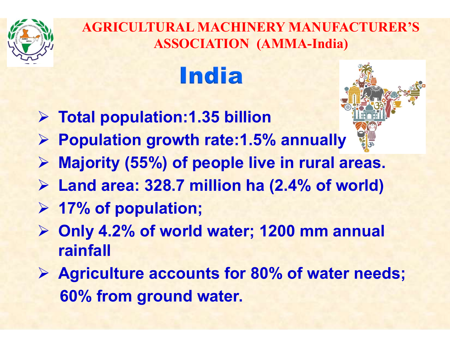

### **India**

- $\triangleright$  Total population: 1.35 billion
- $\triangleright$  Population growth rate: 1.5% annually
- $\triangleright$  Majority (55%) of people live in rural areas.
- $\triangleright$  Land area: 328.7 million ha (2.4% of world)
- $\triangleright$  17% of population;
- Only 4.2% of world water; 1200 mm annual rainfall
- $\triangleright$  Agriculture accounts for 80% of water needs; 60% from ground water.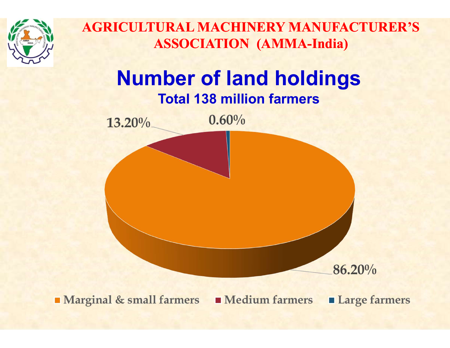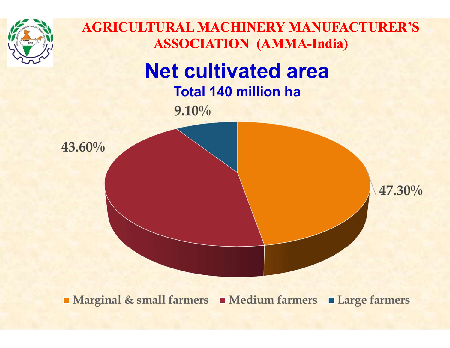

■ Marginal & small farmers ■ Medium farmers ■ Large farmers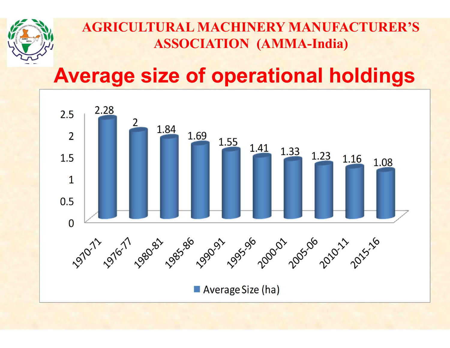

#### Average size of operational holdings

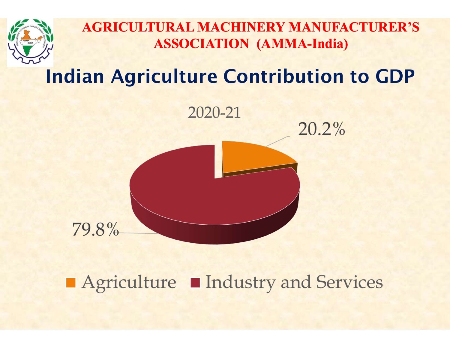

#### Indian Agriculture Contribution to GDP



■ Agriculture ■ Industry and Services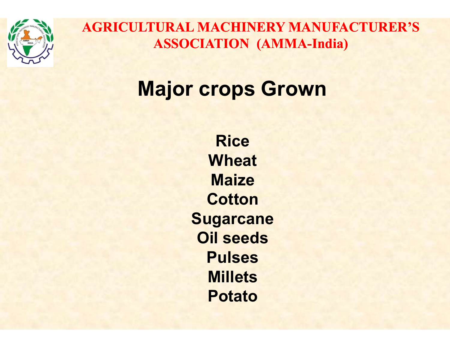

#### **Major crops Grown**

**Rice Wheat Maize Cotton Sugarcane** Oil seeds Pulses **Millets** Potato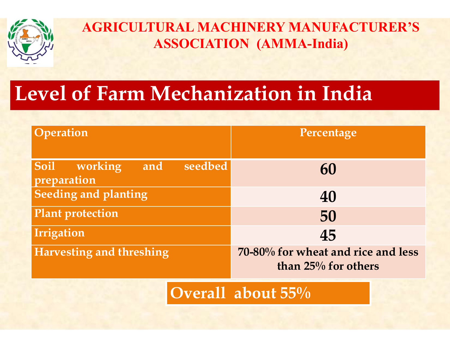

#### Level of Farm Mechanization in India

| AGRICULI UKAL MACHINERY MANUFACI UKER´S<br><b>ASSOCIATION (AMMA-India)</b> |                                                           |  |  |  |  |  |  |
|----------------------------------------------------------------------------|-----------------------------------------------------------|--|--|--|--|--|--|
| evel of Farm Mechanization in India                                        |                                                           |  |  |  |  |  |  |
| Operation                                                                  | Percentage                                                |  |  |  |  |  |  |
| Soil<br>seedbed<br>working<br>and<br>preparation                           | 60                                                        |  |  |  |  |  |  |
| <b>Seeding and planting</b>                                                | 40                                                        |  |  |  |  |  |  |
| <b>Plant protection</b>                                                    | 50                                                        |  |  |  |  |  |  |
| Irrigation                                                                 | 45                                                        |  |  |  |  |  |  |
| Harvesting and threshing                                                   | 70-80% for wheat and rice and less<br>than 25% for others |  |  |  |  |  |  |
|                                                                            | )verall about $55\%$                                      |  |  |  |  |  |  |

Overall about 55%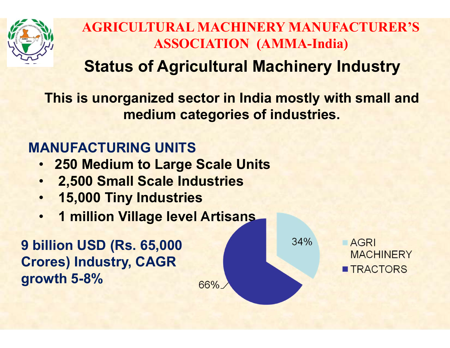

#### Status of Agricultural Machinery Industry

This is unorganized sector in India mostly with small and medium categories of industries.

66%

#### MANUFACTURING UNITS

- 250 Medium to Large Scale Units
- 2,500 Small Scale Industries
- 15,000 Tiny Industries
- 1 million Village level Artisans

9 billion USD (Rs. 65,000 Crores) Industry, CAGR growth 5-8%

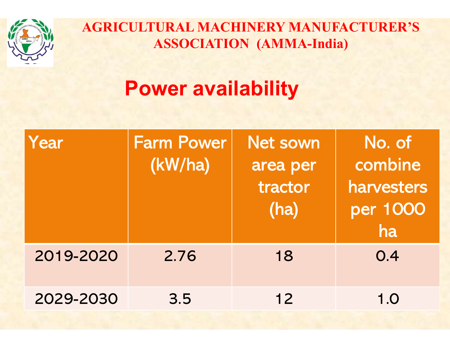

#### Power availability

|           | <b>AGRICULTURAL MACHINERY MANUFACTURER'S</b><br><b>ASSOCIATION (AMMA-India)</b><br><b>Power availability</b> |                                                |                                                   |  |  |
|-----------|--------------------------------------------------------------------------------------------------------------|------------------------------------------------|---------------------------------------------------|--|--|
| Year      | <b>Farm Power</b><br>(kW/ha)                                                                                 | <b>Net sown</b><br>area per<br>tractor<br>(ha) | No. of<br>combine<br>harvesters<br>per 1000<br>ha |  |  |
| 2019-2020 | 2.76                                                                                                         | 18                                             | 0.4                                               |  |  |
| 2029-2030 | 3.5                                                                                                          | $12$                                           | 1.0                                               |  |  |
|           |                                                                                                              |                                                |                                                   |  |  |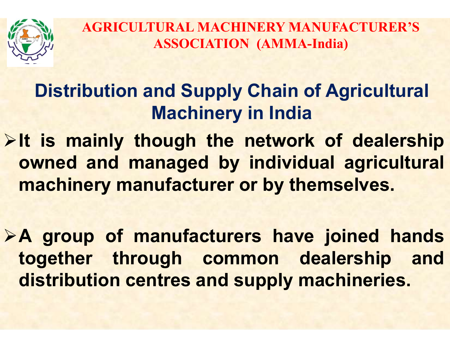

#### Distribution and Supply Chain of Agricultural Machinery in India

AGRICULTURAL MACHINERY MANUFACTURER'S<br>
ASSOCIATION (AMMA-India)<br>
Distribution and Supply Chain of Agricultural<br>
Machinery in India<br>
>It is mainly though the network of dealership<br>
owned and managed by individual agricultur AGRICULTURAL MACHINERY MANUFACTURER'S<br>
ASSOCIATION (AMMA-India)<br>
Distribution and Supply Chain of Agricultural<br>
Machinery in India<br>
It is mainly though the network of dealership<br>
owned and managed by individual agricultura MACHINA ASSOCIATION (AMMA-India)<br>
Distribution and Supply Chain of Agricultural<br>
Machinery in India<br>
It is mainly though the network of dealership<br>
owned and managed by individual agricultural<br>
machinery manufacturer or by Machinery in India<br>
Alt is mainly though the network of dealership<br>
owned and managed by individual agricultural<br>
machinery manufacturer or by themselves.<br>
A group of manufacturers have joined hands<br>
together through commo It is mainly though the network of dealership<br>owned and managed by individual agricultural<br>machinery manufacturer or by themselves.<br>A group of manufacturers have joined hands<br>together through common dealership and<br>distribu

It is mainly though the network of dealership<br>owned and managed by individual agricultural<br>machinery manufacturer or by themselves.<br>A group of manufacturers have joined hands<br>together through common dealership and<br>distribu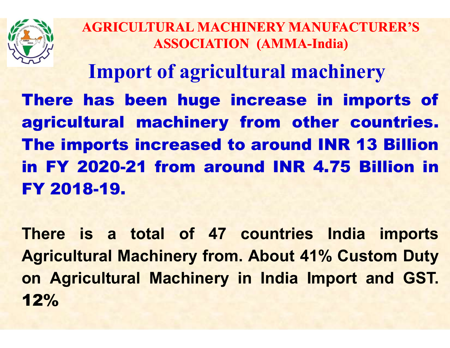

Import of agricultural machinery AGRICULTURAL MACHINERY MANUFACTURER'S<br>
ASSOCIATION (AMMA-India)<br>
Import of agricultural machinery<br>
There has been huge increase in imports of<br>
agricultural machinery from other countries.<br>
The imports increased to around I AGRICULTURAL MACHINERY MANUFACTURER'S<br>
ASSOCIATION (AMMA-India)<br>
Import of agricultural machinery<br>
There has been huge increase in imports of<br>
agricultural machinery from other countries.<br>
The imports increased to around I AGRICULTURAL MACHINERY MANUFACTURER'S<br>
ASSOCIATION (AMMA-India)<br>
Import of agricultural machinery<br>
There has been huge increase in imports of<br>
agricultural machinery from other countries.<br>
The imports increased to around I EXERCITORAL MACHINERT MANOFACTORER S<br>
ASSOCIATION (AMMA-India)<br>
Import of agricultural machinery<br>
There has been huge increase in imports of<br>
agricultural machinery from other countries.<br>
The imports increased to around IN Import of agricu<br>
There has been huge i<br>
agricultural machinery<br>
The imports increased to<br>
in FY 2020-21 from arou<br>
FY 2018-19.<br>
There is a total of 47 There has been huge increase in imports of<br>agricultural machinery from other countries.<br>The imports increased to around INR 13 Billion<br>in FY 2020-21 from around INR 4.75 Billion in<br>FY 2018-19.<br>There is a total of 47 countr **Agricultural machinery from other countries.<br>
The imports increased to around INR 13 Billion<br>
in FY 2020-21 from around INR 4.75 Billion in<br>
FY 2018-19.<br>
There is a total of 47 countries India imports<br>
Agricultural Machin** 

The imports increased to around INR 13 Billion<br>in FY 2020-21 from around INR 4.75 Billion in<br>FY 2018-19.<br>There is a total of 47 countries India imports<br>Agricultural Machinery from. About 41% Custom Duty<br>on Agricultural Mac 12%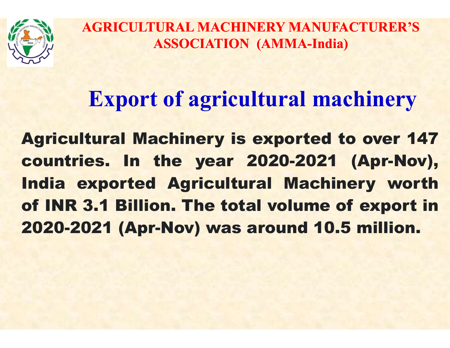

#### Export of agricultural machinery

AGRICULTURAL MACHINERY MANUFACTURER'S<br>
ASSOCIATION (AMMA-India)<br> **Export of agricultural machinery**<br> **Agricultural Machinery is exported to over 147**<br> **Countries. In the year 2020-2021 (Apr-Nov),**<br>
India exported Agricultu AGRICULTURAL MACHINERY MANUFACTURER'S<br>
ASSOCIATION (AMMA-India)<br> **Export of agricultural machinery**<br> **Agricultural Machinery is exported to over 147**<br> **Countries. In the year 2020-2021 (Apr-Nov),<br>
India exported Agricultur** Export of agricultural machinery<br>
Export of agricultural machinery<br>
Agricultural Machinery is exported to over 147<br>
countries. In the year 2020-2021 (Apr-Nov),<br>
India exported Agricultural Machinery worth<br>
of INR 3.1 Billi Export of agricultural machinery<br>Agricultural Machinery is exported to over 147<br>countries. In the year 2020-2021 (Apr-Nov),<br>India exported Agricultural Machinery worth<br>of INR 3.1 Billion. The total volume of export in<br>2020 Export of agricultural machinery<br>Agricultural Machinery is exported to over 147<br>countries. In the year 2020-2021 (Apr-Nov),<br>India exported Agricultural Machinery worth<br>of INR 3.1 Billion. The total volume of export in<br>2020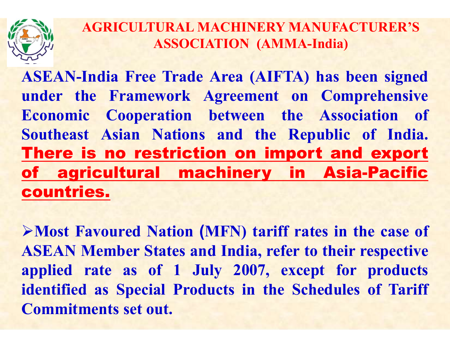AGRICULTURAL MACHINERY MANUFACTURER'S<br>ASSOCIATION (AMMA-India)<br>ASEAN-India Free Trade Area (AIFTA) has been signed<br>under the Framework Agreement on Comprehensive<br>Economic Cooperation between the Association of AGRICULTURAL MACHINERY MANUFACTURER'S<br>
ASSOCIATION (AMMA-India)<br>
ASEAN-India Free Trade Area (AIFTA) has been signed<br>
under the Framework Agreement on Comprehensive<br>
Economic Cooperation between the Association of<br>
Southea AGRICULTURAL MACHINERY MANUFACTURER'S<br>
ASSOCIATION (AMMA-India)<br>
ASEAN-India Free Trade Area (AIFTA) has been signed<br>
under the Framework Agreement on Comprehensive<br>
Economic Cooperation between the Association of<br>
Southea AGRICULTURAL MACHINERY MANUFACTURER'S<br>
ASEAN-India Free Trade Area (AIFTA) has been signed<br>
under the Framework Agreement on Comprehensive<br>
Economic Cooperation between the Association of<br>
Southeast Asian Nations and the R AGRICULTURAL MACHINERY MANUFACTURER'S<br>
ASSOCIATION (AMMA-India)<br>
ASEAN-India Free Trade Area (AIFTA) has been signed<br>
under the Framework Agreement on Comprehensive<br>
Economic Cooperation between the Association of<br>
Southea ASSOCIATION (AMMA-India)<br>
ASEAN-India Free Trade Area (AIFTA) has been signed<br>
under the Framework Agreement on Comprehensive<br>
Economic Cooperation between the Association of<br>
Southeast Asian Nations and the Republic of In countries. under the Framework Agreement on Comprehensive<br>Economic Cooperation between the Association of<br>Southeast Asian Nations and the Republic of India.<br>**There is no restriction on import and export**<br>of agricultural machinery in Economic Cooperation between the Association of<br>
Southeast Asian Nations and the Republic of India.<br> **There is no restriction on import and export**<br> **of agricultural machinery in Asia-Pacific**<br> **countries.**<br>
>Most Favoured

Southeast Asian Nations and the Republic of India.<br> **There is no restriction on import and export**<br> **of agricultural machinery in Asia-Pacific**<br> **countries.**<br>
>Most Favoured Nation (MFN) tariff rates in the case of<br>
ASEAN **There is no restriction on import and export**<br> **of agricultural machinery in Asia-Pacific**<br> **countries.**<br>
>Most Favoured Nation (MFN) tariff rates in the case of<br>
ASEAN Member States and India, refer to their respective<br> **of agricultural machinery in A<br>
countries.**<br>
>Most Favoured Nation (MFN) tariff rates<br>
ASEAN Member States and India, refer to the<br>
applied rate as of 1 July 2007, except<br>
identified as Special Products in the Sched<br>
Comm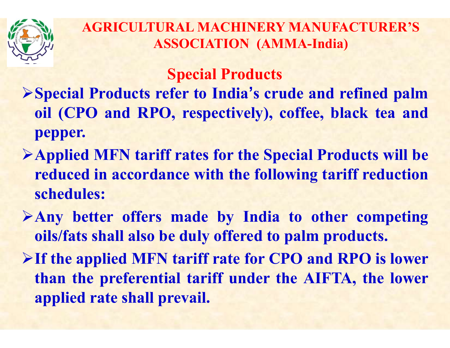

Special Products

- AGRICULTURAL MACHINERY MANUFACTURER'S<br>
ASSOCIATION (AMMA-India)<br>
Special Products<br>
>Special Products refer to India's crude and refined palm<br>
oil (CPO and RPO, respectively), coffee, black tea and<br>
nenner **EXECULTURAL MACHINERY MANUFACTURER'S**<br> **SSOCIATION (AMMA-India)**<br> **Special Products<br>
Special Products refer to India's crude and refined palm<br>
oil (CPO and RPO, respectively), coffee, black tea and<br>
pepper.<br>
Annliad MEN t** pepper. AGRICULTURAL MACHINERY MANUFACTURER'S<br>
ASSOCIATION (AMMA-India)<br>
Special Products<br>
> Special Products refer to India's crude and refined palm<br>
oil (CPO and RPO, respectively), coffee, black tea and<br>
pepper.<br>
> Applied MFN reduced in accordance with the following tariff reducts<br>Special Products<br>Special Products refer to India's crude and refined palm<br>oil (CPO and RPO, respectively), coffee, black tea and<br>pepper.<br>Applied MFN tariff rates for Special Products refer to India's crude and refined palm<br>oil (CPO and RPO, respectively), coffee, black tea and<br>pepper.<br>>Applied MFN tariff rates for the Special Products will be<br>reduced in accordance with the following ta
- schedules: Special Products refer to India's crude and refined palm<br>oil (CPO and RPO, respectively), coffee, black tea and<br>pepper.<br>Applied MFN tariff rates for the Special Products will be<br>reduced in accordance with the following tar If the applied MFN tariff rates for the Special Products will be<br>
reduced in accordance with the following tariff reduction<br>
schedules:<br>
> Any better offers made by India to other competing<br>
oils/fats shall also be duly of Applied MFN tariff rates for the Special Products will be<br>reduced in accordance with the following tariff reduction<br>schedules:<br>Any better offers made by India to other competing<br>oils/fats shall also be duly offered to palm
- 
- Applied MFN tariff rates for the Special Proceedine reduced in accordance with the following tart<br>schedules:<br>Any better offers made by India to other<br>oils/fats shall also be duly offered to palm pro<br>If the applied MFN tari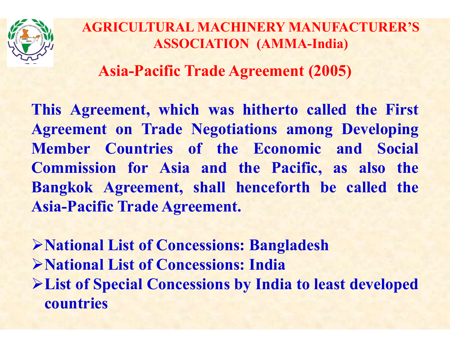

Asia-Pacific Trade Agreement (2005)

AGRICULTURAL MACHINERY MANUFACTURER'S<br>
ASSOCIATION (AMMA-India)<br>
Asia-Pacific Trade Agreement (2005)<br>
This Agreement, which was hitherto called the First<br>
Agreement on Trade Negotiations among Developing<br>
Member Countries AGRICULTURAL MACHINERY MANUFACTURER'S<br>
ASSOCIATION (AMMA-India)<br>
Asia-Pacific Trade Agreement (2005)<br>
This Agreement, which was hitherto called the First<br>
Agreement on Trade Negotiations among Developing<br>
Member Countries AGRICULTURAL MACHINERY MANUFACTURER'S<br>
ASSOCIATION (AMMA-India)<br>
Asia-Pacific Trade Agreement (2005)<br>
This Agreement, which was hitherto called the First<br>
Agreement on Trade Negotiations among Developing<br>
Member Countries AGRICULTURAL MACHINERY MANUFACTURER'S<br>
ASSOCIATION (AMMA-India)<br>
Asia-Pacific Trade Agreement (2005)<br>
This Agreement, which was hitherto called the First<br>
Agreement on Trade Negotiations among Developing<br>
Member Countries ASSOCIATION (AMMA-India)<br>
Asia-Pacific Trade Agreement (2005)<br>
This Agreement, which was hitherto called the First<br>
Agreement on Trade Negotiations among Developing<br>
Member Countries of the Economic and Social<br>
Commission Asia-Pacific Trade Agreement (2005)<br>
This Agreement, which was hitherto called<br>
Agreement on Trade Negotiations among I<br>
Member Countries of the Economic and<br>
Commission for Asia and the Pacific, as<br>
Bangkok Agreement, sha This Agreement, which was hitherto called the First<br>Agreement on Trade Negotiations among Developing<br>Member Countries of the Economic and Social<br>Commission for Asia and the Pacific, as also the<br>Bangkok Agreement, shall hen Agreement on Trade Negotiations among Developing<br>
Member Countries of the Economic and Social<br>
Commission for Asia and the Pacific, as also the<br>
Bangkok Agreement, shall henceforth be called the<br>
Asia-Pacific Trade Agreeme Member Countries of the Economic and Social<br>Commission for Asia and the Pacific, as also the<br>Bangkok Agreement, shall henceforth be called the<br>Asia-Pacific Trade Agreement.<br>>National List of Concessions: Bangladesh<br>>Nation

countries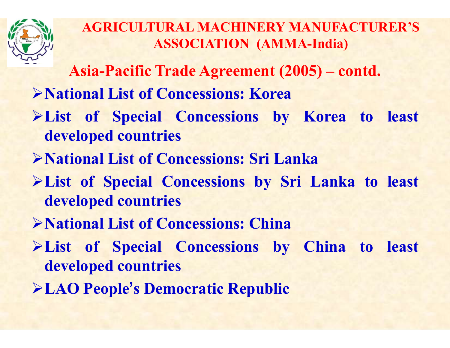

AGRICULTURAL MACHINERY MANUFACTURER'S ASSOCIATION (AMMA-India) AGRICULTURAL MACHINERY MANUFACTURER'S<br>ASSOCIATION (AMMA-India)<br>Asia-Pacific Trade Agreement (2005) – contd.<br>ional List of Concessions: Korea AGRICULTURAL MACHINERY MANUFACTURER'S<br>
ASSOCIATION (AMMA-India)<br>
Asia-Pacific Trade Agreement (2005) – contd.<br>
>National List of Concessions: Korea<br>
>List of Special Concessions by Korea to least<br>
developed countries

- 
- 
- AGRICULTURAL MACHINERY MANUFACTURER'S<br>
ASSOCIATION (AMMA-India)<br>
Asia-Pacific Trade Agreement (2005) contd.<br>
>National List of Concessions: Korea<br>
>List of Special Concessions by Korea to least<br>
developed countries<br>
Nati AGRICULTURAL MACHINERY M.<br>
ASSOCIATION (AMMA<br>
Asia-Pacific Trade Agreement (200<br>
National List of Concessions: Korea<br>
List of Special Concessions by<br>
developed countries<br>
National List of Concessions: Sri Lan AGRICULTURAL MACHINERY MANUFACTURER'S<br>
ASSOCIATION (AMMA-India)<br>
Asia-Pacific Trade Agreement (2005) – contd.<br>
> National List of Concessions: Korea<br>
> List of Special Concessions: Sri Lanka<br>
> National List of Concessions
- 
- ASSOCIATION (AMMA-India)<br>
Asia-Pacific Trade Agreement (2005) contd.<br>
>National List of Concessions: Korea<br>
>List of Special Concessions by Korea to least<br>
developed countries<br>
>National List of Concessions: Sri Lanka<br>
> Asia-Pacific Trade Agreement (201<br>
National List of Concessions: Korea<br>
List of Special Concessions by<br>
developed countries<br>
National List of Concessions: Sri Lan<br>
List of Special Concessions by Sri<br>
developed countries<br>
N National List of Concessions: Korea<br>
National List of Special Concessions by Korea to least<br>
developed countries<br>
National List of Concessions: Sri Lanka<br>
National List of Special Concessions: China<br>
National List of Conc >List of Special Concessions by Korea to least<br>
developed countries<br>
>National List of Concessions: Sri Lanka<br>
>List of Special Concessions by Sri Lanka to least<br>
developed countries<br>
>National List of Concessions: China<br> developed countries<br>
National List of Concessions: Sri Lan<br>
List of Special Concessions by Sri<br>
developed countries<br>
National List of Concessions: China<br>
List of Special Concessions by<br>
developed countries<br>
LAO People's De Rue Republic Solutions: Sri Lanka<br>
Republic Special Concessions by Sri Lanka to leas<br>
developed countries<br>
Rue Republic Republic<br>
Republic Republic<br>
Republic Republic Republic Solutions Channel Republic<br>
Republic Republic
- 
- 
-